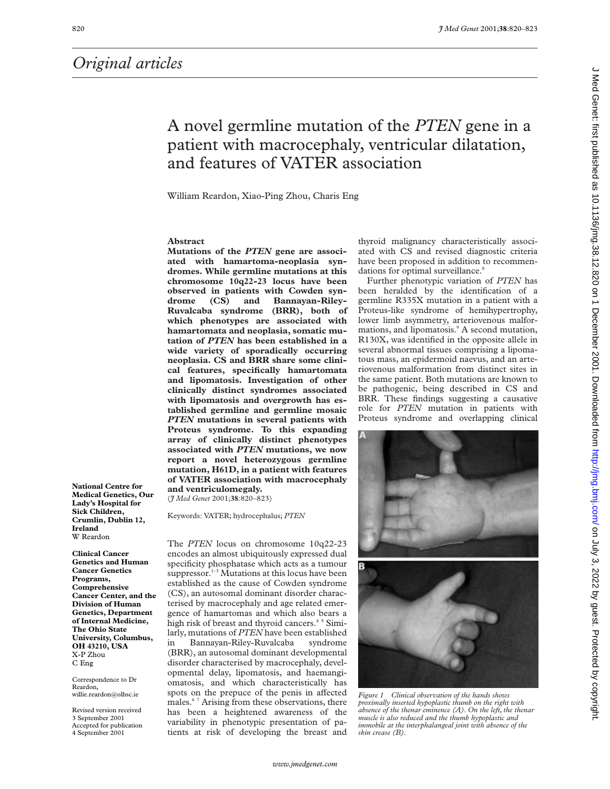*Original articles*

**National Centre for Medical Genetics, Our Lady's Hospital for Sick Children, Crumlin, Dublin 12,**

Correspondence to Dr

willie.reardon@olhsc.ie Revised version received 3 September 2001 Accepted for publication 4 September 2001

Reardon,

**Ireland** W Reardon **Clinical Cancer Genetics and Human Cancer Genetics Programs, Comprehensive Cancer Center, and the Division of Human Genetics, Department of Internal Medicine, The Ohio State University, Columbus, OH 43210, USA** X-P Zhou C Eng

## A novel germline mutation of the *PTEN* gene in a patient with macrocephaly, ventricular dilatation, and features of VATER association

William Reardon, Xiao-Ping Zhou, Charis Eng

#### **Abstract**

**Mutations of the** *PTEN* **gene are associated with hamartoma-neoplasia syndromes. While germline mutations at this chromosome 10q22-23 locus have been observed in patients with Cowden syndrome (CS) and Bannayan-Riley-Ruvalcaba syndrome (BRR), both of which phenotypes are associated with hamartomata and neoplasia, somatic mutation of** *PTEN* **has been established in a wide variety of sporadically occurring neoplasia. CS and BRR share some clinical features, specifically hamartomata and lipomatosis. Investigation of other clinically distinct syndromes associated with lipomatosis and overgrowth has established germline and germline mosaic** *PTEN* **mutations in several patients with Proteus syndrome. To this expanding array of clinically distinct phenotypes associated with** *PTEN* **mutations, we now report a novel heterozygous germline mutation, H61D, in a patient with features of VATER association with macrocephaly and ventriculomegaly.**

(*J Med Genet* 2001;**38**:820–823)

Keywords: VATER; hydrocephalus; *PTEN*

The *PTEN* locus on chromosome 10q22-23 encodes an almost ubiquitously expressed dual specificity phosphatase which acts as a tumour suppressor.<sup>1-3</sup> Mutations at this locus have been established as the cause of Cowden syndrome (CS), an autosomal dominant disorder characterised by macrocephaly and age related emergence of hamartomas and which also bears a high risk of breast and thyroid cancers.<sup>45</sup> Similarly, mutations of *PTEN* have been established in Bannayan-Riley-Ruvalcaba syndrome (BRR), an autosomal dominant developmental disorder characterised by macrocephaly, developmental delay, lipomatosis, and haemangiomatosis, and which characteristically has spots on the prepuce of the penis in affected males.<sup>67</sup> Arising from these observations, there has been a heightened awareness of the variability in phenotypic presentation of patients at risk of developing the breast and

thyroid malignancy characteristically associated with CS and revised diagnostic criteria have been proposed in addition to recommendations for optimal surveillance.<sup>8</sup>

Further phenotypic variation of *PTEN* has been heralded by the identification of a germline R335X mutation in a patient with a Proteus-like syndrome of hemihypertrophy, lower limb asymmetry, arteriovenous malformations, and lipomatosis.<sup>9</sup> A second mutation, R130X, was identified in the opposite allele in several abnormal tissues comprising a lipomatous mass, an epidermoid naevus, and an arteriovenous malformation from distinct sites in the same patient. Both mutations are known to be pathogenic, being described in CS and BRR. These findings suggesting a causative role for *PTEN* mutation in patients with Proteus syndrome and overlapping clinical





*Figure 1 Clinical observation of the hands shows proximally inserted hypoplastic thumb on the right with absence of the thenar eminence (A). On the left, the thenar muscle is also reduced and the thumb hypoplastic and immobile at the interphalangeal joint with absence of the skin crease (B).*

J Med Genet: first published as 10.1136/jmg.38.12.82.0.113.82.001. Download from Downloadd from thtp://jmg.bm/ on July 3, 2022 by guest. Protected by copyright. Med Genet: first published as 10.1136/jmg.38.12.820 on 1 December 2001. Downloaded from http://jmg.bmj.com/ on July 3, 2022 by guest. Protected by copyrigh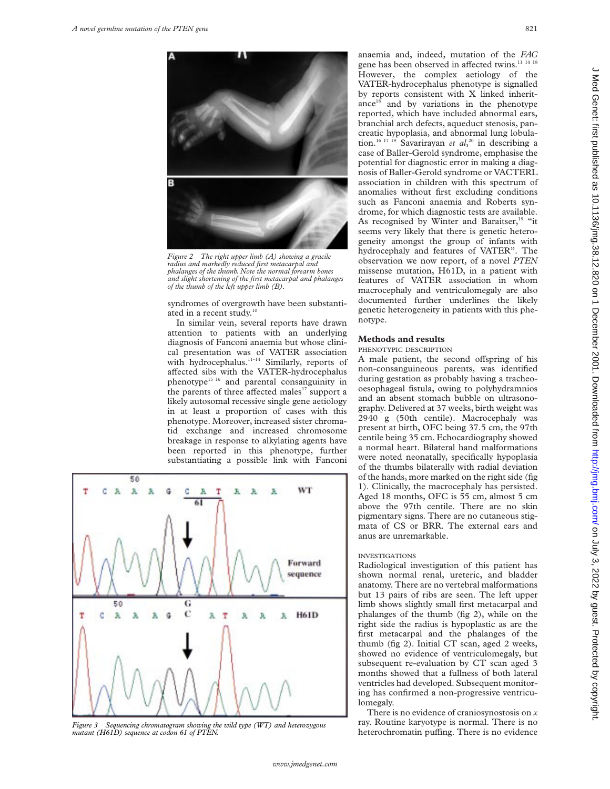

*radius and markedly reduced first metacarpal and phalanges of the thumb. Note the normal forearm bones and slight shortening of the first metacarpal and phalanges of the thumb of the left upper limb (B).*

syndromes of overgrowth have been substantiated in a recent study.<sup>10</sup>

attention to patients with an underlying diagnosis of Fanconi anaemia but whose clinical presentation was of VATER association with hydrocephalus.<sup>11-14</sup> Similarly, reports of affected sibs with the VATER-hydrocephalus phenotype15 16 and parental consanguinity in the parents of three affected males<sup>17</sup> support a likely autosomal recessive single gene aetiology in at least a proportion of cases with this phenotype. Moreover, increased sister chromatid exchange and increased chromosome breakage in response to alkylating agents have been reported in this phenotype, further substantiating a possible link with Fanconi



*Figure 3 Sequencing chromatogram showing the wild type (WT) and heterozygous mutant (H61D) sequence at codon 61 of PTEN.*

anaemia and, indeed, mutation of the *FAC* gene has been observed in affected twins.<sup>11 14 18</sup> However, the complex aetiology of the VATER-hydrocephalus phenotype is signalled by reports consistent with X linked inheritance<sup>18</sup> and by variations in the phenotype reported, which have included abnormal ears, branchial arch defects, aqueduct stenosis, pancreatic hypoplasia, and abnormal lung lobulation.16 17 19 Savarirayan *et al*, <sup>20</sup> in describing a case of Baller-Gerold syndrome, emphasise the potential for diagnostic error in making a diagnosis of Baller-Gerold syndrome or VACTERL association in children with this spectrum of anomalies without first excluding conditions such as Fanconi anaemia and Roberts syndrome, for which diagnostic tests are available. As recognised by Winter and Baraitser,<sup>19</sup> "it seems very likely that there is genetic heterogeneity amongst the group of infants with hydrocephaly and features of VATER". The observation we now report, of a novel *PTEN* missense mutation, H61D, in a patient with features of VATER association in whom macrocephaly and ventriculomegaly are also documented further underlines the likely genetic heterogeneity in patients with this phe-

#### **Methods and results**

#### PHENOTYPIC DESCRIPTION

A male patient, the second offspring of his non-consanguineous parents, was identified during gestation as probably having a tracheooesophageal fistula, owing to polyhydramnios and an absent stomach bubble on ultrasonography. Delivered at 37 weeks, birth weight was 2940 g (50th centile). Macrocephaly was present at birth, OFC being 37.5 cm, the 97th centile being 35 cm. Echocardiography showed a normal heart. Bilateral hand malformations were noted neonatally, specifically hypoplasia of the thumbs bilaterally with radial deviation of the hands, more marked on the right side (fig 1). Clinically, the macrocephaly has persisted. Aged 18 months, OFC is 55 cm, almost 5 cm above the 97th centile. There are no skin pigmentary signs. There are no cutaneous stigmata of CS or BRR. The external ears and anus are unremarkable.

#### INVESTIGATIONS

Radiological investigation of this patient has shown normal renal, ureteric, and bladder anatomy. There are no vertebral malformations but 13 pairs of ribs are seen. The left upper limb shows slightly small first metacarpal and phalanges of the thumb (fig 2), while on the right side the radius is hypoplastic as are the first metacarpal and the phalanges of the thumb (fig 2). Initial CT scan, aged 2 weeks, showed no evidence of ventriculomegaly, but subsequent re-evaluation by CT scan aged 3 months showed that a fullness of both lateral ventricles had developed. Subsequent monitoring has confirmed a non-progressive ventriculomegaly.

There is no evidence of craniosynostosis on *x* ray. Routine karyotype is normal. There is no heterochromatin puffing. There is no evidence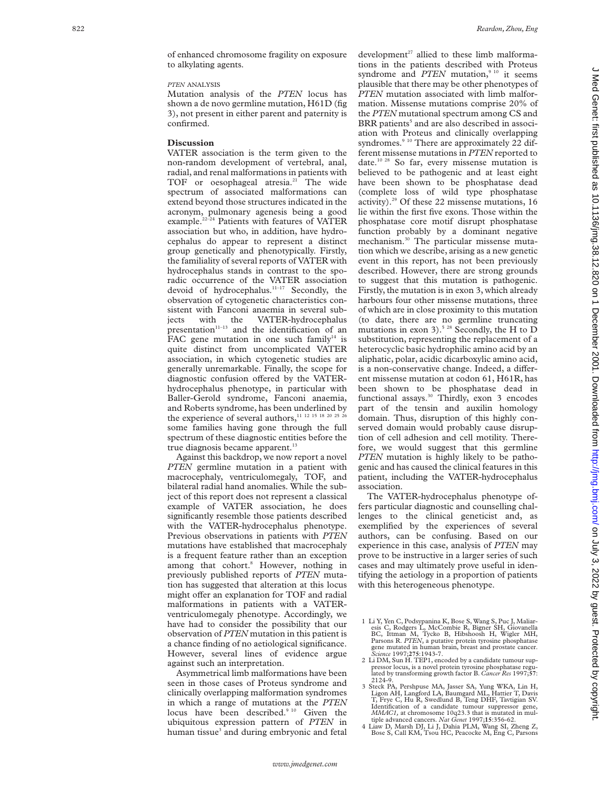#### *PTEN* ANALYSIS

Mutation analysis of the *PTEN* locus has shown a de novo germline mutation, H61D (fig 3), not present in either parent and paternity is confirmed.

#### **Discussion**

VATER association is the term given to the non-random development of vertebral, anal, radial, and renal malformations in patients with TOF or oesophageal atresia.<sup>21</sup> The wide spectrum of associated malformations can extend beyond those structures indicated in the acronym, pulmonary agenesis being a good example.<sup>22-24</sup> Patients with features of VATER association but who, in addition, have hydrocephalus do appear to represent a distinct group genetically and phenotypically. Firstly, the familiality of several reports of VATER with hydrocephalus stands in contrast to the sporadic occurrence of the VATER association devoid of hydrocephalus.<sup>11-17</sup> Secondly, the observation of cytogenetic characteristics consistent with Fanconi anaemia in several subjects with the VATER-hydrocephalus presentation $11-13$  and the identification of an FAC gene mutation in one such family<sup>14</sup> is quite distinct from uncomplicated VATER association, in which cytogenetic studies are generally unremarkable. Finally, the scope for diagnostic confusion offered by the VATERhydrocephalus phenotype, in particular with Baller-Gerold syndrome, Fanconi anaemia, and Roberts syndrome, has been underlined by the experience of several authors,<sup>11 12 15</sup> 18 20 25 2 some families having gone through the full spectrum of these diagnostic entities before the true diagnosis became apparent. $13$ 

Against this backdrop, we now report a novel *PTEN* germline mutation in a patient with macrocephaly, ventriculomegaly, TOF, and bilateral radial hand anomalies. While the subject of this report does not represent a classical example of VATER association, he does significantly resemble those patients described with the VATER-hydrocephalus phenotype. Previous observations in patients with *PTEN* mutations have established that macrocephaly is a frequent feature rather than an exception among that cohort. <sup>8</sup> However, nothing in previously published reports of *PTEN* mutation has suggested that alteration at this locus might offer an explanation for TOF and radial malformations in patients with a VATERventriculomegaly phenotype. Accordingly, we have had to consider the possibility that our observation of *PTEN* mutation in this patient is a chance finding of no aetiological significance. However, several lines of evidence argue against such an interpretation.

Asymmetrical limb malformations have been seen in those cases of Proteus syndrome and clinically overlapping malformation syndromes in which a range of mutations at the *PTEN* locus have been described.<sup>9 10</sup> Given the ubiquitous expression pattern of *PTEN* in human tissue <sup>3</sup> and during embryonic and fetal

development $27$  allied to these limb malformations in the patients described with Proteus syndrome and *PTEN* mutation,<sup>9 10</sup> it seems plausible that there may be other phenotypes of *PTEN* mutation associated with limb malformation. Missense mutations comprise 20% of the *PTEN* mutational spectrum among CS and BRR patients <sup>5</sup> and are also described in association with Proteus and clinically overlapping syndromes.<sup>9 10</sup> There are approximately 22 different missense mutations in *PTEN* reported to date.10 28 So far, every missense mutation is believed to be pathogenic and at least eight have been shown to be phosphatase dead (complete loss of wild type phosphatase activity).29 Of these 22 missense mutations, 16 lie within the first five exons. Those within the phosphatase core motif disrupt phosphatase function probably by a dominant negative mechanism.30 The particular missense mutation which we describe, arising as a new genetic event in this report, has not been previously described. However, there are strong grounds to suggest that this mutation is pathogenic. Firstly, the mutation is in exon 3, which already harbours four other missense mutations, three of which are in close proximity to this mutation (to date, there are no germline truncating mutations in exon 3).<sup>5 28</sup> Secondly, the H to D substitution, representing the replacement of a heterocyclic basic hydrophilic amino acid by an aliphatic, polar, acidic dicarboxylic amino acid, is a non-conservative change. Indeed, a different missense mutation at codon 61, H61R, has been shown to be phosphatase dead in functional assays.30 Thirdly, exon 3 encodes part of the tensin and auxilin homology domain. Thus, disruption of this highly conserved domain would probably cause disruption of cell adhesion and cell motility. Therefore, we would suggest that this germline *PTEN* mutation is highly likely to be pathogenic and has caused the clinical features in this patient, including the VATER-hydrocephalus association.

The VATER-hydrocephalus phenotype offers particular diagnostic and counselling challenges to the clinical geneticist and, as exemplified by the experiences of several authors, can be confusing. Based on our experience in this case, analysis of *PTEN* may prove to be instructive in a larger series of such cases and may ultimately prove useful in identifying the aetiology in a proportion of patients with this heterogeneous phenotype.

<sup>1</sup> Li Y, Yen C, Podsypanina K, Bose S, Wang S, Puc J, Maliaresis C, Rodgers L, McCombie R, Bigner SH, Giovanella BC, Ittman M, Tycko B, Hibshoosh H, Wigler MH, Parsons R. *PTEN*, a putative protein tyrosine phosphatase gene mutated in human brain, breast and prostate cancer. *Science* 1997;**275**:1943-7.

<sup>2</sup> Li DM, Sun H. TEP1, encoded by a candidate tumour suppressor locus, is a novel protein tyrosine phosphatase regu-lated by transforming growth factor B. *Cancer Res* 1997;**57**: 2124-9.

<sup>3</sup> Steck PA, Pershpuse MA, Jasser SA, Yung WKA, Lin H, Ligon AH, Langford LA, Baumgard ML, Hattier T, Davis T, Frye C, Hu R, Swedlund B, Teng DHF, Tavtigian SV. Identification of a candidate tumour suppressor gene, *MMAC1,* at chromosome 10q23.3 that is mutated in mul-

tiple advanced cancers. *Nat Genet* 1997;**15**:356-62. 4 Liaw D, Marsh DJ, Li J, Dahia PLM, Wang SI, Zheng Z, Bose S, Call KM, Tsou HC, Peacocke M, Eng C, Parsons